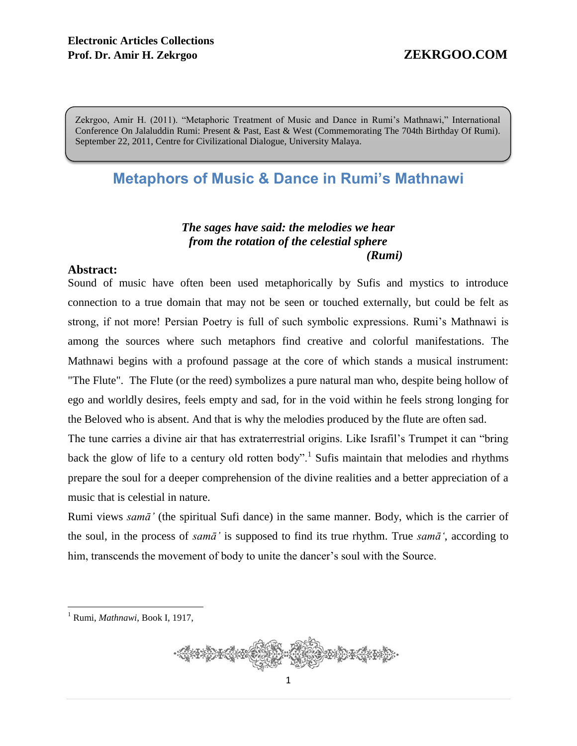Zekrgoo, Amir H. (2011). "Metaphoric Treatment of Music and Dance in Rumi's Mathnawi," International Conference On Jalaluddin Rumi: Present & Past, East & West (Commemorating The 704th Birthday Of Rumi). September 22, 2011, Centre for Civilizational Dialogue, University Malaya.

# **Metaphors of Music & Dance in Rumi's Mathnawi**

### *The sages have said: the melodies we hear from the rotation of the celestial sphere (Rumi)*

### **Abstract:**

Sound of music have often been used metaphorically by Sufis and mystics to introduce connection to a true domain that may not be seen or touched externally, but could be felt as strong, if not more! Persian Poetry is full of such symbolic expressions. Rumi's Mathnawi is among the sources where such metaphors find creative and colorful manifestations. The Mathnawi begins with a profound passage at the core of which stands a musical instrument: "The Flute". The Flute (or the reed) symbolizes a pure natural man who, despite being hollow of ego and worldly desires, feels empty and sad, for in the void within he feels strong longing for the Beloved who is absent. And that is why the melodies produced by the flute are often sad.

The tune carries a divine air that has extraterrestrial origins. Like Israfil's Trumpet it can "bring back the glow of life to a century old rotten body".<sup>1</sup> Sufis maintain that melodies and rhythms prepare the soul for a deeper comprehension of the divine realities and a better appreciation of a music that is celestial in nature.

Rumi views *samā'* (the spiritual Sufi dance) in the same manner. Body, which is the carrier of the soul, in the process of *samā'* is supposed to find its true rhythm. True *samā'*, according to him, transcends the movement of body to unite the dancer's soul with the Source.

<sup>1</sup> Rumi, *Mathnawi*, Book I, 1917,

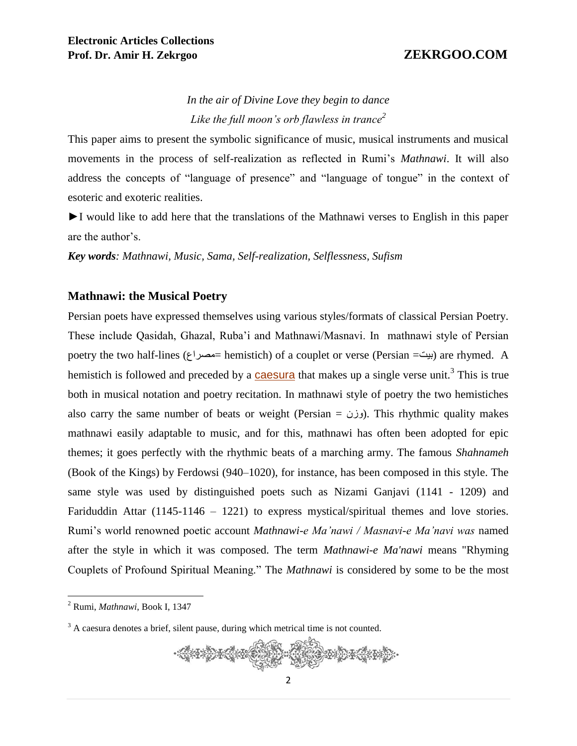# *In the air of Divine Love they begin to dance Like the full moon's orb flawless in trance<sup>2</sup>*

This paper aims to present the symbolic significance of music, musical instruments and musical movements in the process of self-realization as reflected in Rumi's *Mathnawi*. It will also address the concepts of "language of presence" and "language of tongue" in the context of esoteric and exoteric realities.

►I would like to add here that the translations of the Mathnawi verses to English in this paper are the author's.

*Key words: Mathnawi, Music, Sama, Self-realization, Selflessness, Sufism*

### **Mathnawi: the Musical Poetry**

Persian poets have expressed themselves using various styles/formats of classical Persian Poetry. These include Qasidah, Ghazal, Ruba'i and Mathnawi/Masnavi. In mathnawi style of Persian poetry the two half-lines (مصراع =hemistich) of a couplet or verse (Persian =بیت (are rhymed. A hemistich is followed and preceded by a **[caesura](http://en.wikipedia.org/wiki/Caesura)** that makes up a single verse unit.<sup>3</sup> This is true both in musical notation and poetry recitation. In mathnawi style of poetry the two hemistiches also carry the same number of beats or weight (Persian =  $(i)$ وزن(. This rhythmic quality makes mathnawi easily adaptable to music, and for this, mathnawi has often been adopted for epic themes; it goes perfectly with the rhythmic beats of a marching army. The famous *Shahnameh* (Book of the Kings) by Ferdowsi (940–1020), for instance, has been composed in this style. The same style was used by distinguished poets such as Nizami Ganjavi (1141 - 1209) and Fariduddin Attar (1145-1146 – 1221) to express mystical/spiritual themes and love stories. Rumi's world renowned poetic account *Mathnawi-e Ma'nawi / Masnavi-e Ma'navi was* named after the style in which it was composed. The term *Mathnawi-e Ma'nawi* means "Rhyming Couplets of Profound Spiritual Meaning." The *Mathnawi* is considered by some to be the most

<sup>&</sup>lt;sup>3</sup> A caesura denotes a brief, silent pause, during which metrical time is not counted.



<sup>2</sup> Rumi, *Mathnawi*, Book I, 1347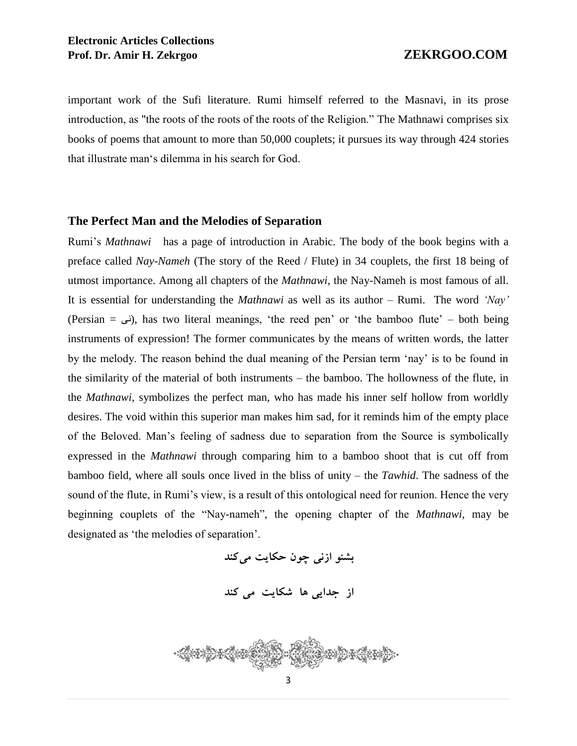important work of the Sufi literature. Rumi himself referred to the Masnavi, in its prose introduction, as "the roots of the roots of the roots of the Religion." The Mathnawi comprises six books of poems that amount to more than 50,000 couplets; it pursues its way through 424 stories that illustrate man's dilemma in his search for God.

### **The Perfect Man and the Melodies of Separation**

Rumi's *Mathnawi* has a page of introduction in Arabic. The body of the book begins with a preface called *Nay-Nameh* (The story of the Reed / Flute) in 34 couplets, the first 18 being of utmost importance. Among all chapters of the *Mathnawi*, the Nay-Nameh is most famous of all. It is essential for understanding the *Mathnawi* as well as its author – Rumi. The word *'Nay'* (Persian =  $\mu$ ), has two literal meanings, 'the reed pen' or 'the bamboo flute' – both being instruments of expression! The former communicates by the means of written words, the latter by the melody. The reason behind the dual meaning of the Persian term 'nay' is to be found in the similarity of the material of both instruments – the bamboo. The hollowness of the flute, in the *Mathnawi*, symbolizes the perfect man, who has made his inner self hollow from worldly desires. The void within this superior man makes him sad, for it reminds him of the empty place of the Beloved. Man's feeling of sadness due to separation from the Source is symbolically expressed in the *Mathnawi* through comparing him to a bamboo shoot that is cut off from bamboo field, where all souls once lived in the bliss of unity – the *Tawhid*. The sadness of the sound of the flute, in Rumi's view, is a result of this ontological need for reunion. Hence the very beginning couplets of the "Nay-nameh", the opening chapter of the *Mathnawi,* may be designated as 'the melodies of separation'.

بشنو ازن*ی چون حکايت مي کند* 

**از جدايى ها شكايت مى كند**

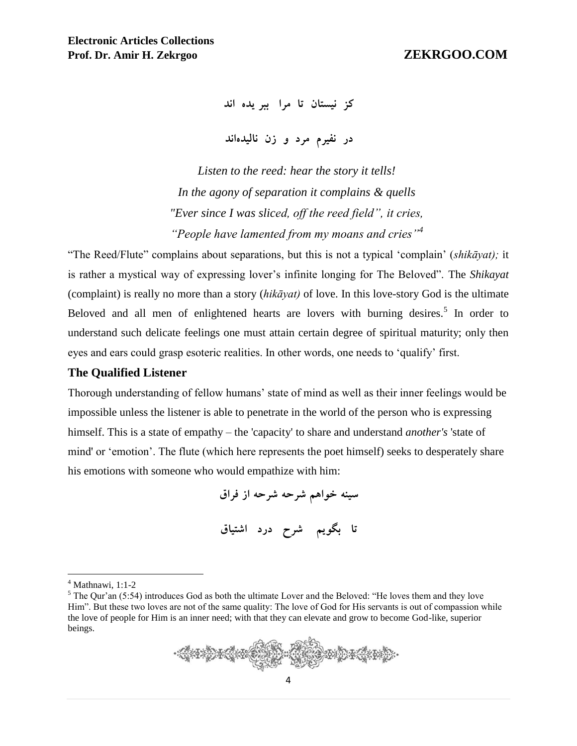**كز نيستان تا مرا ببر يده اند**

**در نفيرم مرد و زن ناليدهاند**

*Listen to the reed: hear the story it tells! In the agony of separation it complains & quells "Ever since I was sliced, off the reed field", it cries, "People have lamented from my moans and cries"<sup>4</sup>*

"The Reed/Flute" complains about separations, but this is not a typical 'complain' (*shikāyat);* it is rather a mystical way of expressing lover's infinite longing for The Beloved". The *Shikayat*  (complaint) is really no more than a story (*hikāyat)* of love. In this love-story God is the ultimate Beloved and all men of enlightened hearts are lovers with burning desires.<sup>5</sup> In order to understand such delicate feelings one must attain certain degree of spiritual maturity; only then eyes and ears could grasp esoteric realities. In other words, one needs to 'qualify' first.

### **The Qualified Listener**

Thorough understanding of fellow humans' state of mind as well as their inner feelings would be impossible unless the listener is able to penetrate in the world of the person who is expressing himself. This is a state of empathy – the 'capacity' to share and understand *another's* 'state of mind' or 'emotion'. The flute (which here represents the poet himself) seeks to desperately share his emotions with someone who would empathize with him:

> **سينه خواهم شرحه شرحه از فراق تا بگويم شرح درد اشتياق**

 $5$  The Qur'an (5:54) introduces God as both the ultimate Lover and the Beloved: "He loves them and they love Him". But these two loves are not of the same quality: The love of God for His servants is out of compassion while the love of people for Him is an inner need; with that they can elevate and grow to become God-like, superior beings.



 $4$  Mathnawi, 1:1-2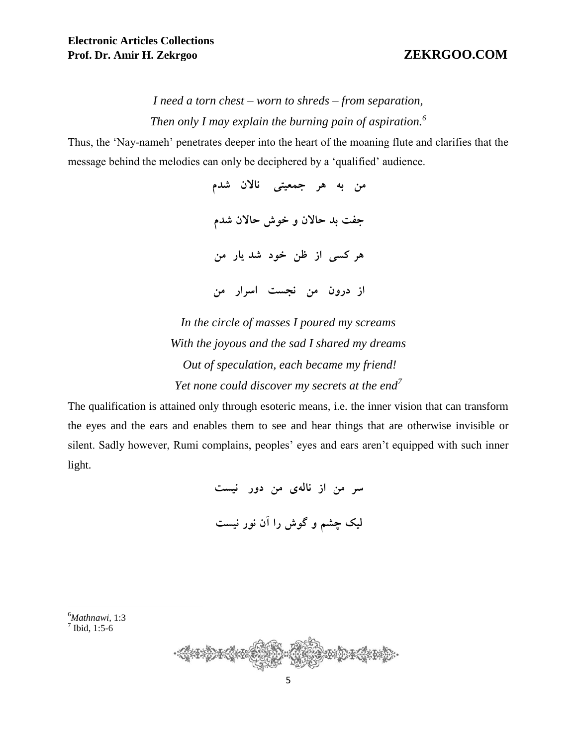*I need a torn chest – worn to shreds – from separation, Then only I may explain the burning pain of aspiration.<sup>6</sup>*

Thus, the 'Nay-nameh' penetrates deeper into the heart of the moaning flute and clarifies that the message behind the melodies can only be deciphered by a 'qualified' audience.

> **من به هر جمعيتى ناالن شدم جفت بد حاالن و خوش حاالن شدم هر كسى از ظن خود شد يار من از درون من نجست اسرار من**

*In the circle of masses I poured my screams With the joyous and the sad I shared my dreams Out of speculation, each became my friend! Yet none could discover my secrets at the end<sup>7</sup>*

The qualification is attained only through esoteric means, i.e. the inner vision that can transform the eyes and the ears and enables them to see and hear things that are otherwise invisible or silent. Sadly however, Rumi complains, peoples' eyes and ears aren't equipped with such inner light.

> **سر من از نالهى من دور نيست ليك چشم و گوش را آن نور نيست**

<sup>6</sup>*Mathnawi*, 1:3  $7$  Ibid, 1:5-6

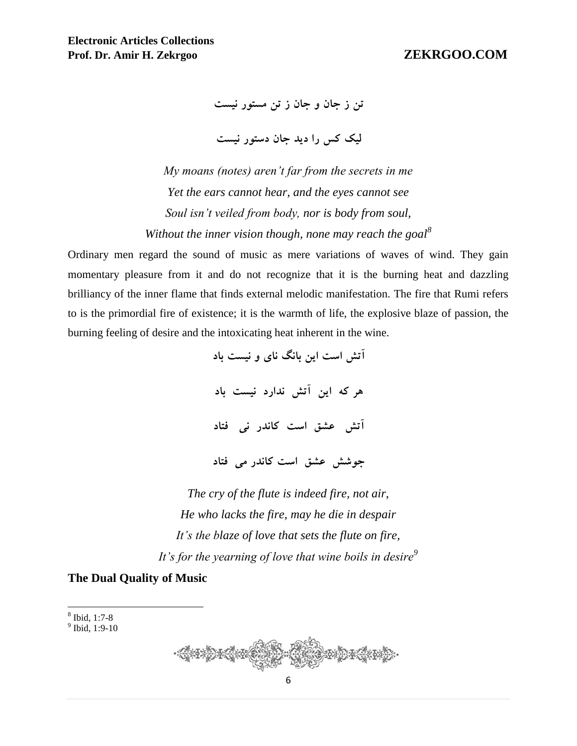**تن ز جان و جان ز تن مستور نيست**

**ليك كس را ديد جان دستور نيست**

*My moans (notes) aren't far from the secrets in me Yet the ears cannot hear, and the eyes cannot see Soul isn't veiled from body, nor is body from soul, Without the inner vision though, none may reach the goal<sup>8</sup>*

Ordinary men regard the sound of music as mere variations of waves of wind. They gain momentary pleasure from it and do not recognize that it is the burning heat and dazzling brilliancy of the inner flame that finds external melodic manifestation. The fire that Rumi refers to is the primordial fire of existence; it is the warmth of life, the explosive blaze of passion, the burning feeling of desire and the intoxicating heat inherent in the wine.

> **آتش است اين بانگ ناى و نيست باد هر كه اين آتش ندارد نيست باد آتش عشق است كاندر نى فتاد جوشش عشق است كاندر مى فتاد**

*The cry of the flute is indeed fire, not air, He who lacks the fire, may he die in despair It's the blaze of love that sets the flute on fire, It's for the yearning of love that wine boils in desire<sup>9</sup>*

### **The Dual Quality of Music**

8 Ibid, 1:7-8



<sup>&</sup>lt;sup>9</sup> Ibid, 1:9-10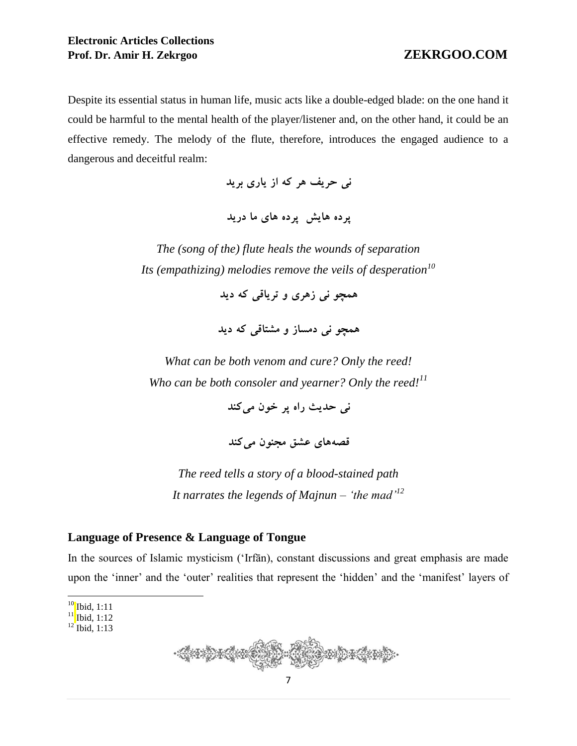Despite its essential status in human life, music acts like a double-edged blade: on the one hand it could be harmful to the mental health of the player/listener and, on the other hand, it could be an effective remedy. The melody of the flute, therefore, introduces the engaged audience to a dangerous and deceitful realm:

**نى حريف هر كه از يارى بريد**

**پرده هايش پرده هاى ما دريد**

*The (song of the) flute heals the wounds of separation Its (empathizing) melodies remove the veils of desperation<sup>10</sup>*

**همچو نى زهرى و ترياقى كه ديد**

**همچو نى دمساز و مشتاقى كه ديد**

*What can be both venom and cure? Only the reed! Who can be both consoler and yearner? Only the reed!<sup>11</sup>*

**نى حديث راه پر خون مىكند**

**قصههاى عشق مجنون مىكند**

*The reed tells a story of a blood-stained path It narrates the legends of Majnun – 'the mad'<sup>12</sup>*

### **Language of Presence & Language of Tongue**

In the sources of Islamic mysticism ('Irfān), constant discussions and great emphasis are made upon the 'inner' and the 'outer' realities that represent the 'hidden' and the 'manifest' layers of



 $\overline{a}$  $10$  Ibid, 1:11

 $11$  Ibid, 1:12

 $12$  Ibid, 1:13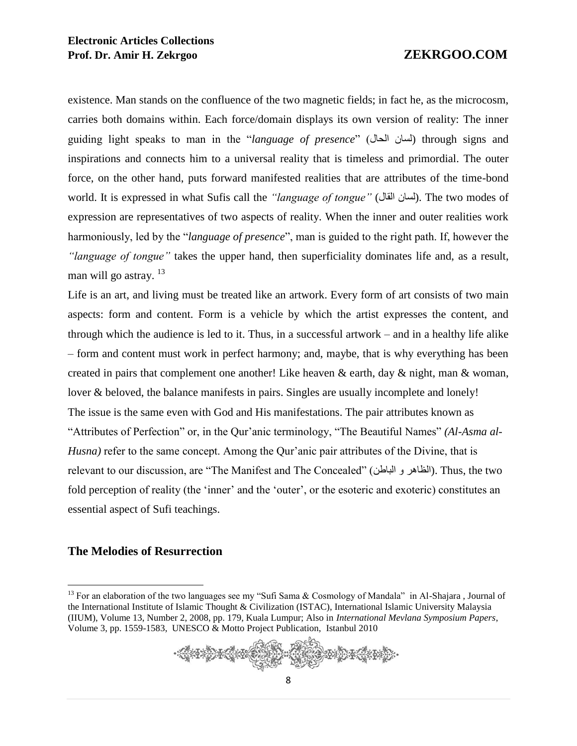existence. Man stands on the confluence of the two magnetic fields; in fact he, as the microcosm, carries both domains within. Each force/domain displays its own version of reality: The inner guiding light speaks to man in the "*language of presence*" (الحال لسان (through signs and inspirations and connects him to a universal reality that is timeless and primordial. The outer force, on the other hand, puts forward manifested realities that are attributes of the time-bond world. It is expressed in what Sufis call the *"language of tongue"* (السان القال). The two modes of expression are representatives of two aspects of reality. When the inner and outer realities work harmoniously, led by the "*language of presence*", man is guided to the right path. If, however the *"language of tongue"* takes the upper hand, then superficiality dominates life and, as a result, man will go astray.<sup>13</sup>

Life is an art, and living must be treated like an artwork. Every form of art consists of two main aspects: form and content. Form is a vehicle by which the artist expresses the content, and through which the audience is led to it. Thus, in a successful artwork – and in a healthy life alike – form and content must work in perfect harmony; and, maybe, that is why everything has been created in pairs that complement one another! Like heaven & earth, day & night, man & woman, lover & beloved, the balance manifests in pairs. Singles are usually incomplete and lonely! The issue is the same even with God and His manifestations. The pair attributes known as "Attributes of Perfection" or, in the Qur'anic terminology, "The Beautiful Names" *(Al-Asma al-Husna*) refer to the same concept. Among the Qur'anic pair attributes of the Divine, that is relevant to our discussion, are "The Manifest and The Concealed" (الباطن و الظاهر(. Thus, the two fold perception of reality (the 'inner' and the 'outer', or the esoteric and exoteric) constitutes an essential aspect of Sufi teachings.

### **The Melodies of Resurrection**

<sup>&</sup>lt;sup>13</sup> For an elaboration of the two languages see my "Sufi Sama & Cosmology of Mandala" in Al-Shajara, Journal of the International Institute of Islamic Thought & Civilization (ISTAC), International Islamic University Malaysia (IIUM), Volume 13, Number 2, 2008, pp. 179, Kuala Lumpur; Also in *International Mevlana Symposium Papers*, Volume 3, pp. 1559-1583, UNESCO & Motto Project Publication, Istanbul 2010

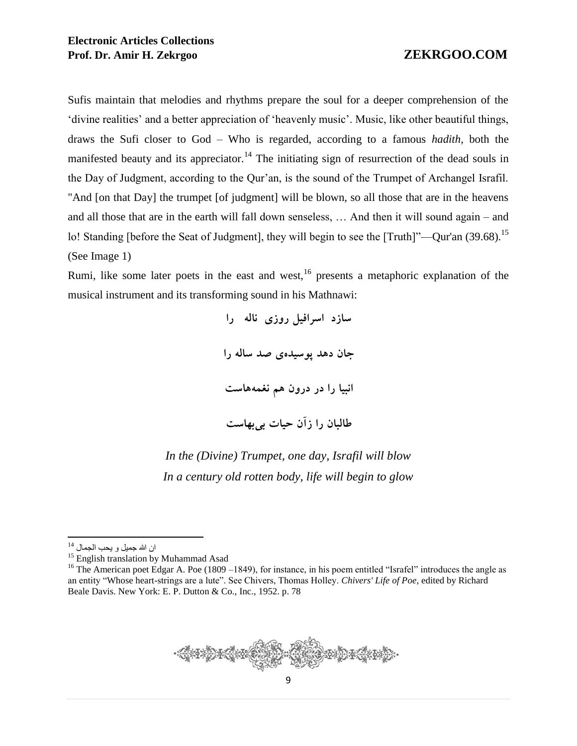Sufis maintain that melodies and rhythms prepare the soul for a deeper comprehension of the 'divine realities' and a better appreciation of 'heavenly music'. Music, like other beautiful things, draws the Sufi closer to God – Who is regarded, according to a famous *hadith*, both the manifested beauty and its appreciator.<sup>14</sup> The initiating sign of resurrection of the dead souls in the Day of Judgment, according to the Qur'an, is the sound of the Trumpet of Archangel Israfil. "And [on that Day] the trumpet [of judgment] will be blown, so all those that are in the heavens and all those that are in the earth will fall down senseless, … And then it will sound again – and lo! Standing [before the Seat of Judgment], they will begin to see the [Truth]"—Qur'an (39.68).<sup>15</sup> (See Image 1)

Rumi, like some later poets in the east and west,  $16$  presents a metaphoric explanation of the musical instrument and its transforming sound in his Mathnawi:

> **سازد اسرافيل روزى ناله را جان دهد پوسيدهى صد ساله را انبيا را در درون هم نغمههاست طالبان را زآن حيات بىبهاست**

*In the (Divine) Trumpet, one day, Israfil will blow In a century old rotten body, life will begin to glow*



ان الله جمیل و یحب الجمال <sup>14</sup>

<sup>&</sup>lt;sup>15</sup> English translation by Muhammad Asad

<sup>&</sup>lt;sup>16</sup> The American poet Edgar A. Poe (1809 –1849), for instance, in his poem entitled "Israfel" introduces the angle as an entity "Whose heart-strings are a lute". See Chivers, Thomas Holley. *Chivers' Life of Poe*, edited by Richard Beale Davis. New York: E. P. Dutton & Co., Inc., 1952. p. 78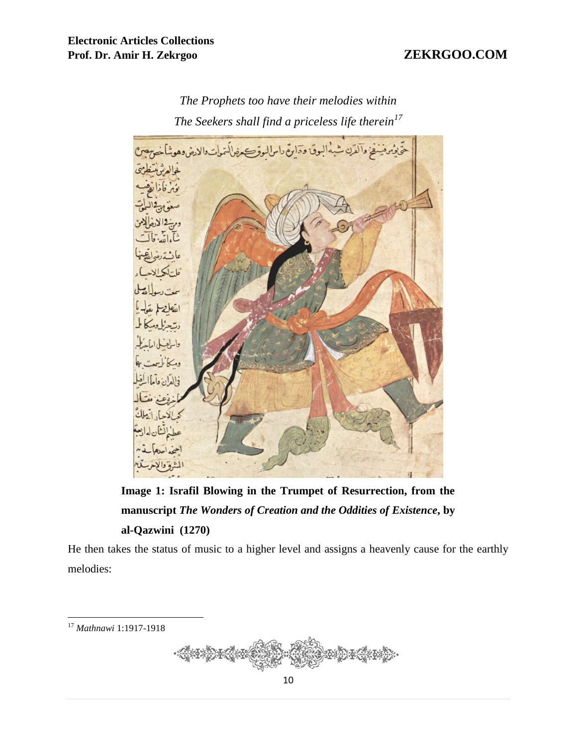

*The Prophets too have their melodies within The Seekers shall find a priceless life therein<sup>17</sup>*

**Image 1: Israfil Blowing in the Trumpet of Resurrection, from the manuscript** *The Wonders of Creation and the Oddities of Existence***, by al-Qazwini (1270)**

He then takes the status of music to a higher level and assigns a heavenly cause for the earthly melodies:

<sup>17</sup> *Mathnawi* 1:1917-1918

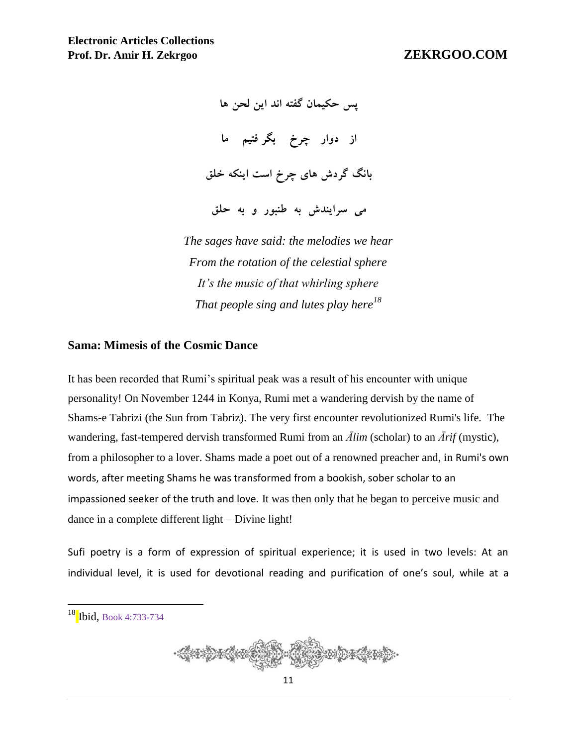**پس حكيمان گفته اند اين لحن ها از دوار چرخ بگر فتيم ما بانگ گردش های چرخ است اينكه خلق می سرايندش به طنبور و به حلق**

*The sages have said: the melodies we hear From the rotation of the celestial sphere It's the music of that whirling sphere That people sing and lutes play here<sup>18</sup>*

### **Sama: Mimesis of the Cosmic Dance**

It has been recorded that Rumi's spiritual peak was a result of his encounter with unique personality! On November 1244 in Konya, Rumi met a wandering dervish by the name of Shams-e Tabrizi (the Sun from Tabriz). The very first encounter revolutionized Rumi's life. The wandering, fast-tempered dervish transformed Rumi from an *Ālim* (scholar) to an *Ārif* (mystic), from a philosopher to a lover. Shams made a poet out of a renowned preacher and, in Rumi's own words, after meeting Shams he was transformed from a bookish, sober scholar to an impassioned seeker of the truth and love. It was then only that he began to perceive music and dance in a complete different light – Divine light!

Sufi poetry is a form of expression of spiritual experience; it is used in two levels: At an individual level, it is used for devotional reading and purification of one's soul, while at a

 $18$  Ibid, Book 4:733-734

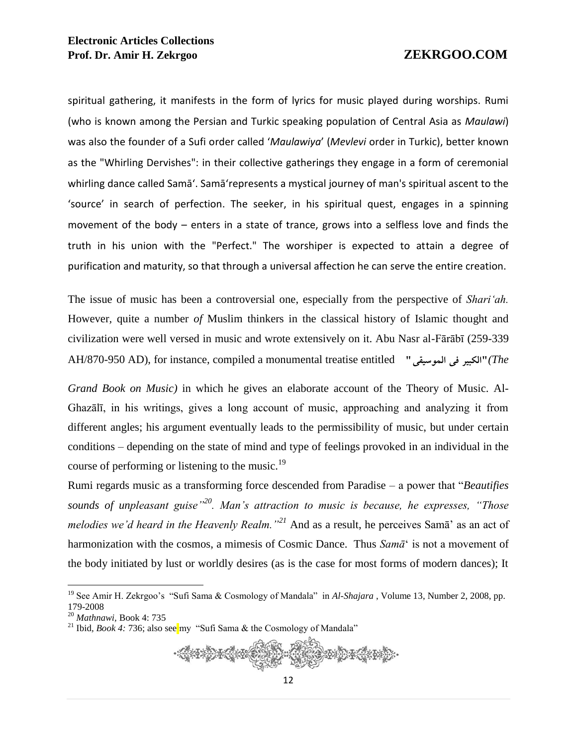spiritual gathering, it manifests in the form of lyrics for music played during worships. Rumi (who is known among the Persian and Turkic speaking population of Central Asia as *Maulawi*) was also the founder of a Sufi order called '*Maulawiya*' (*Mevlevi* order in Turkic), better known as the "Whirling Dervishes": in their collective gatherings they engage in a form of ceremonial whirling dance called Samā'. Samā'represents a mystical journey of man's spiritual ascent to the 'source' in search of perfection. The seeker, in his spiritual quest, engages in a spinning movement of the body – enters in a state of trance, grows into a selfless love and finds the truth in his union with the "Perfect." The worshiper is expected to attain a degree of purification and maturity, so that through a universal affection he can serve the entire creation.

The issue of music has been a controversial one, especially from the perspective of *Shari'ah.*  However*,* quite a number *of* Muslim thinkers in the classical history of Islamic thought and civilization were well versed in music and wrote extensively on it. Abu Nasr al-Fārābī (259-339 AH/870-950 AD), for instance, compiled a monumental treatise entitled "**الموسيقی فی الكبير***)*"*The* 

*Grand Book on Music)* in which he gives an elaborate account of the Theory of Music. Al-Ghazālī, in his writings, gives a long account of music, approaching and analyzing it from different angles; his argument eventually leads to the permissibility of music, but under certain conditions – depending on the state of mind and type of feelings provoked in an individual in the course of performing or listening to the music. $^{19}$ 

Rumi regards music as a transforming force descended from Paradise – a power that "*Beautifies sounds of unpleasant guise"<sup>20</sup>. Man's attraction to music is because, he expresses, "Those melodies we'd heard in the Heavenly Realm."<sup>21</sup>* And as a result, he perceives Samā' as an act of harmonization with the cosmos, a mimesis of Cosmic Dance. Thus *Samā*' is not a movement of the body initiated by lust or worldly desires (as is the case for most forms of modern dances); It

<sup>&</sup>lt;sup>21</sup> Ibid, *Book 4:* 736; also see my "Sufi Sama & the Cosmology of Mandala"



<sup>&</sup>lt;sup>19</sup> See Amir H. Zekrgoo's "Sufi Sama & Cosmology of Mandala" in *Al-Shajara*, Volume 13, Number 2, 2008, pp. 179-2008

<sup>20</sup> *Mathnawi,* Book 4: 735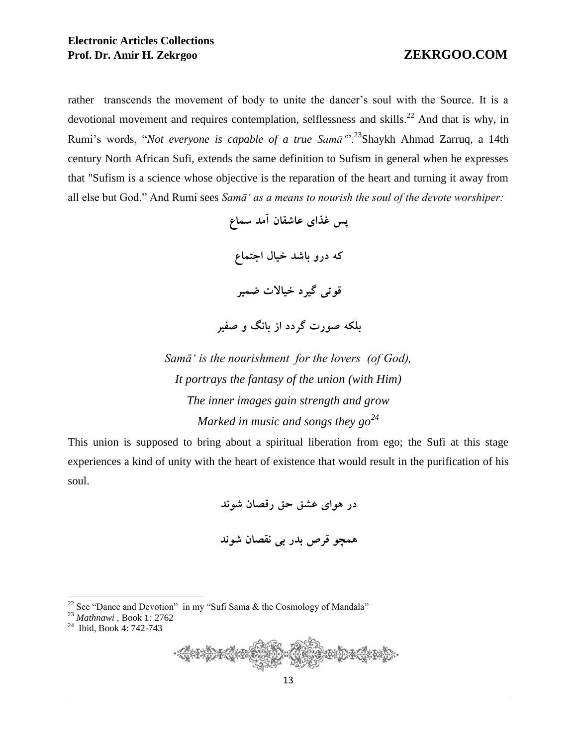### **Electronic Articles Collections Prof. Dr. Amir H. Zekrgoo ZEKRGOO.COM**

rather transcends the movement of body to unite the dancer's soul with the Source. It is a devotional movement and requires contemplation, selflessness and skills.<sup>22</sup> And that is why, in Rumi's words, "*Not everyone is capable of a true Samā'*".<sup>23</sup>Shaykh Ahmad Zarruq, a 14th century North African Sufi, extends the same definition to Sufism in general when he expresses that "Sufism is a science whose objective is the reparation of the heart and turning it away from all else but God." And Rumi sees *Samā' as a means to nourish the soul of the devote worshiper:*

> **پس غذای عاشقان آمد سماع كه درو باشد خيال اجتماع قوتی گيرد خياالت ضمير بلكه صورت گردد از بانگ و صفير**

*Samā' is the nourishment for the lovers (of God), It portrays the fantasy of the union (with Him) The inner images gain strength and grow Marked in music and songs they go<sup>24</sup>*

This union is supposed to bring about a spiritual liberation from ego; the Sufi at this stage experiences a kind of unity with the heart of existence that would result in the purification of his soul.

> **در هوای عشق حق رقصان شوند همچو قرص بدر بی نقصان شوند**

<sup>22</sup> See "Dance and Devotion" in my "Sufi Sama  $\&$  the Cosmology of Mandala"



<sup>23</sup> *Mathnawi ,* Book 1*:* 2762

<sup>&</sup>lt;sup>24</sup> Ibid, Book 4: 742-743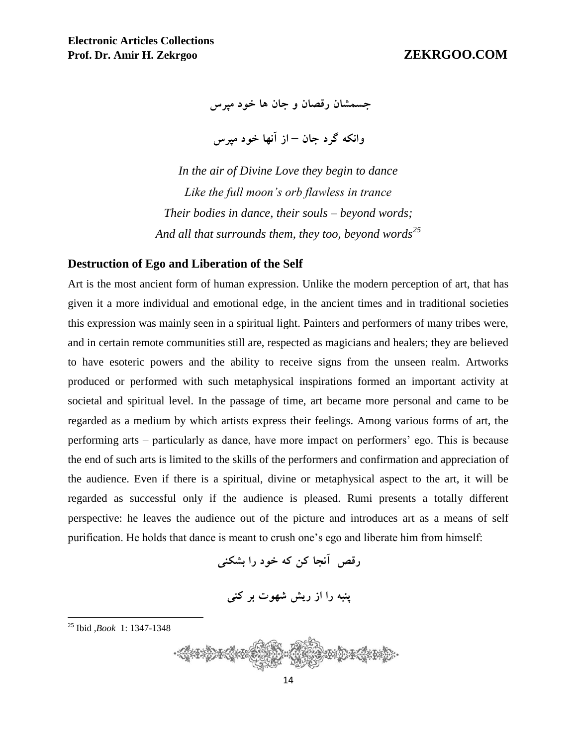**جسمشان رقصان و جان ها خود مپرس** 

**وانكه گرد جان – از آنها خود مپرس**

*In the air of Divine Love they begin to dance Like the full moon's orb flawless in trance Their bodies in dance, their souls – beyond words; And all that surrounds them, they too, beyond words<sup>25</sup>*

### **Destruction of Ego and Liberation of the Self**

Art is the most ancient form of human expression. Unlike the modern perception of art, that has given it a more individual and emotional edge, in the ancient times and in traditional societies this expression was mainly seen in a spiritual light. Painters and performers of many tribes were, and in certain remote communities still are, respected as magicians and healers; they are believed to have esoteric powers and the ability to receive signs from the unseen realm. Artworks produced or performed with such metaphysical inspirations formed an important activity at societal and spiritual level. In the passage of time, art became more personal and came to be regarded as a medium by which artists express their feelings. Among various forms of art, the performing arts – particularly as dance, have more impact on performers' ego. This is because the end of such arts is limited to the skills of the performers and confirmation and appreciation of the audience. Even if there is a spiritual, divine or metaphysical aspect to the art, it will be regarded as successful only if the audience is pleased. Rumi presents a totally different perspective: he leaves the audience out of the picture and introduces art as a means of self purification. He holds that dance is meant to crush one's ego and liberate him from himself:

**رقص آنجا كن كه خود را بشكنی**

**پنبه را از ريش شهوت بر كنی**

<sup>25</sup> Ibid *,Book* 1: 1347-1348

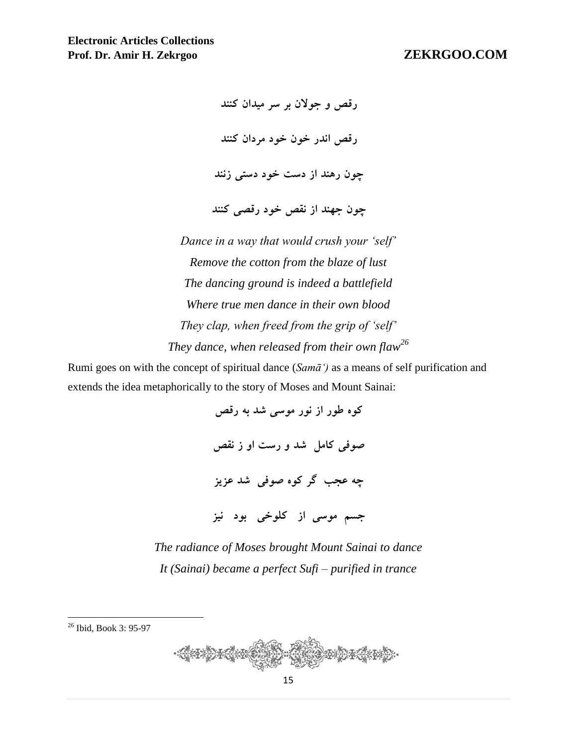**رقص و جوالن بر سر ميدان كنند رقص اندر خون خود مردان كنند چون رهند از دست خود دستی زنند چون جهند از نقص خود رقصی كنند**

*Dance in a way that would crush your 'self' Remove the cotton from the blaze of lust The dancing ground is indeed a battlefield Where true men dance in their own blood They clap, when freed from the grip of 'self' They dance, when released from their own flaw<sup>26</sup>*

Rumi goes on with the concept of spiritual dance (*Samā')* as a means of self purification and extends the idea metaphorically to the story of Moses and Mount Sainai:

> **كوه طور از نور موسى شد به رقص صوفى كامل شد و رست او ز نقص چه عجب گر كوه صوفى شد عزيز جسم موسى از كلوخى بود نيز**

*The radiance of Moses brought Mount Sainai to dance It (Sainai) became a perfect Sufi – purified in trance*

 $\overline{a}$ <sup>26</sup> Ibid, Book 3: 95-97

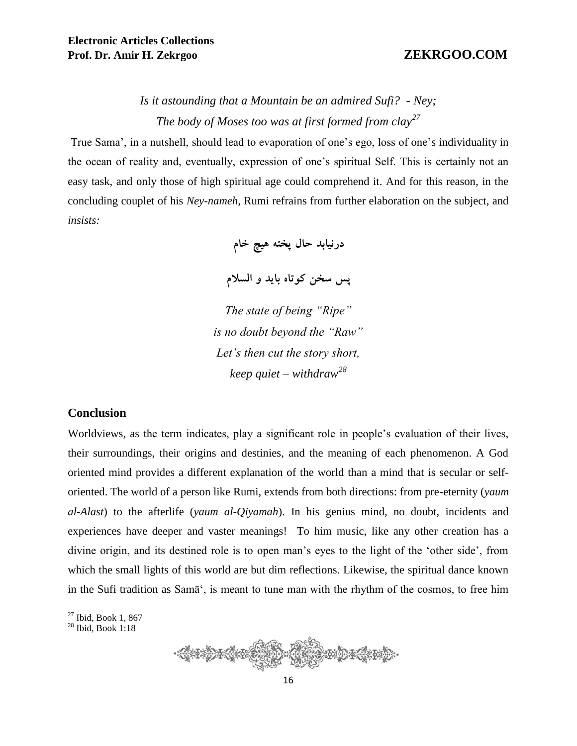# *Is it astounding that a Mountain be an admired Sufi? - Ney; The body of Moses too was at first formed from clay<sup>27</sup>*

True Sama', in a nutshell, should lead to evaporation of one's ego, loss of one's individuality in the ocean of reality and, eventually, expression of one's spiritual Self. This is certainly not an easy task, and only those of high spiritual age could comprehend it. And for this reason, in the concluding couplet of his *Ney-nameh,* Rumi refrains from further elaboration on the subject, and *insists:* 

**درنيابد حال پخته هيچ خام**

**پس سخن كوتاه بايد و السالم**

*The state of being "Ripe" is no doubt beyond the "Raw" Let's then cut the story short, keep quiet – withdraw<sup>28</sup>*

### **Conclusion**

Worldviews, as the term indicates, play a significant role in people's evaluation of their lives, their surroundings, their origins and destinies, and the meaning of each phenomenon. A God oriented mind provides a different explanation of the world than a mind that is secular or selforiented. The world of a person like Rumi, extends from both directions: from pre-eternity (*yaum al-Alast*) to the afterlife (*yaum al-Qiyamah*). In his genius mind, no doubt, incidents and experiences have deeper and vaster meanings! To him music, like any other creation has a divine origin, and its destined role is to open man's eyes to the light of the 'other side', from which the small lights of this world are but dim reflections. Likewise, the spiritual dance known in the Sufi tradition as Samā', is meant to tune man with the rhythm of the cosmos, to free him

<sup>28</sup> Ibid, Book 1:18



 $27$  Ibid, Book 1, 867